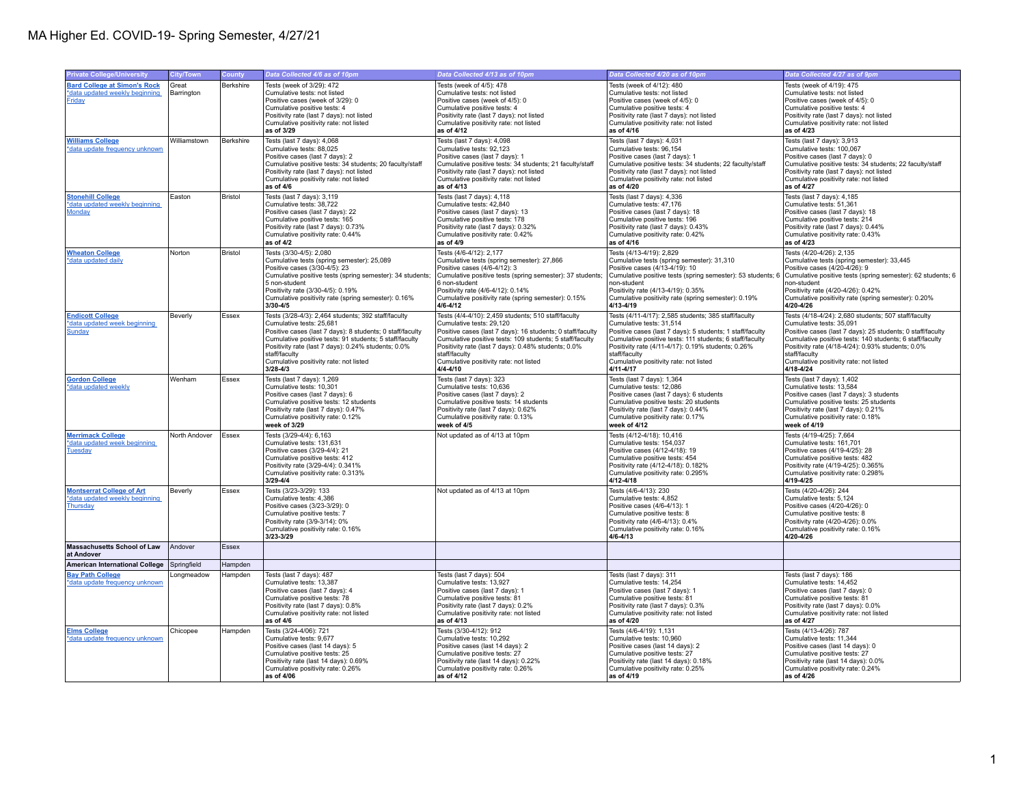| <b>Private College/University</b>                                               | <b>City/Town</b>    | County         | Data Collected 4/6 as of 10pm                                                                                                                                                                                                                                                                                                             | Data Collected 4/13 as of 10pm                                                                                                                                                                                                                                                                                                          | Data Collected 4/20 as of 10pm                                                                                                                                                                                                                                                                                                          | Data Collected 4/27 as of 9pm                                                                                                                                                                                                                                                                                                           |
|---------------------------------------------------------------------------------|---------------------|----------------|-------------------------------------------------------------------------------------------------------------------------------------------------------------------------------------------------------------------------------------------------------------------------------------------------------------------------------------------|-----------------------------------------------------------------------------------------------------------------------------------------------------------------------------------------------------------------------------------------------------------------------------------------------------------------------------------------|-----------------------------------------------------------------------------------------------------------------------------------------------------------------------------------------------------------------------------------------------------------------------------------------------------------------------------------------|-----------------------------------------------------------------------------------------------------------------------------------------------------------------------------------------------------------------------------------------------------------------------------------------------------------------------------------------|
| <b>Bard College at Simon's Rock</b><br>*data updated weekly beginning<br>Friday | Great<br>Barrington | Berkshire      | Tests (week of 3/29): 472<br>Cumulative tests: not listed<br>Positive cases (week of 3/29): 0<br>Cumulative positive tests: 4<br>Positivity rate (last 7 days): not listed<br>Cumulative positivity rate: not listed<br>as of 3/29                                                                                                        | Tests (week of 4/5): 478<br>Cumulative tests: not listed<br>Positive cases (week of 4/5): 0<br>Cumulative positive tests: 4<br>Positivity rate (last 7 days): not listed<br>Cumulative positivity rate: not listed<br>as of 4/12                                                                                                        | Tests (week of 4/12): 480<br>Cumulative tests: not listed<br>Positive cases (week of 4/5): 0<br>Cumulative positive tests: 4<br>Positivity rate (last 7 days): not listed<br>Cumulative positivity rate: not listed<br>as of 4/16                                                                                                       | Tests (week of 4/19): 475<br>Cumulative tests: not listed<br>Positive cases (week of 4/5): 0<br>Cumulative positive tests: 4<br>Positivity rate (last 7 days): not listed<br>Cumulative positivity rate: not listed<br>as of 4/23                                                                                                       |
| <b>Williams College</b><br>*data update frequency unknown                       | Williamstown        | Berkshire      | Tests (last 7 days): 4,068<br>Cumulative tests: 88,025<br>Positive cases (last 7 days): 2<br>Cumulative positive tests: 34 students; 20 faculty/staff<br>Positivity rate (last 7 days): not listed<br>Cumulative positivity rate: not listed<br>as of 4/6                                                                                 | Tests (last 7 days): 4,098<br>Cumulative tests: 92.123<br>Positive cases (last 7 days): 1<br>Cumulative positive tests: 34 students; 21 faculty/staff<br>Positivity rate (last 7 days): not listed<br>Cumulative positivity rate: not listed<br>as of 4/13                                                                              | Tests (last 7 days): 4,031<br>Cumulative tests: 96.154<br>Positive cases (last 7 days): 1<br>Cumulative positive tests: 34 students; 22 faculty/staff<br>Positivity rate (last 7 days): not listed<br>Cumulative positivity rate: not listed<br>as of 4/20                                                                              | Tests (last 7 days): 3,913<br>Cumulative tests: 100,067<br>Positive cases (last 7 days): 0<br>Cumulative positive tests: 34 students; 22 faculty/staff<br>Positivity rate (last 7 days): not listed<br>Cumulative positivity rate: not listed<br>as of 4/27                                                                             |
| <b>Stonehill College</b><br>*data updated weekly beginning<br><b>Monday</b>     | Easton              | <b>Bristol</b> | Tests (last 7 days): 3,119<br>Cumulative tests: 38,722<br>Positive cases (last 7 days): 22<br>Cumulative positive tests: 165<br>Positivity rate (last 7 days): 0.73%<br>Cumulative positivity rate: 0.44%<br>as of 4/2                                                                                                                    | Tests (last 7 days): 4,118<br>Cumulative tests: 42,840<br>Positive cases (last 7 days): 13<br>Cumulative positive tests: 178<br>Positivity rate (last 7 days): 0.32%<br>Cumulative positivity rate: 0.42%<br>as of 4/9                                                                                                                  | Tests (last 7 days): 4,336<br>Cumulative tests: 47,176<br>Positive cases (last 7 days): 18<br>Cumulative positive tests: 196<br>Positivity rate (last 7 days): 0.43%<br>Cumulative positivity rate: 0.42%<br>as of 4/16                                                                                                                 | Tests (last 7 days): 4,185<br>Cumulative tests: 51,361<br>Positive cases (last 7 days): 18<br>Cumulative positive tests: 214<br>Positivity rate (last 7 days): 0.44%<br>Cumulative positivity rate: 0.43%<br>as of 4/23                                                                                                                 |
| <b>Wheaton College</b><br>*data updated daily                                   | Norton              | <b>Bristol</b> | Tests (3/30-4/5): 2,080<br>Cumulative tests (spring semester): 25,089<br>Positive cases (3/30-4/5): 23<br>Cumulative positive tests (spring semester): 34 students;<br>5 non-student<br>Positivity rate (3/30-4/5): 0.19%<br>Cumulative positivity rate (spring semester): 0.16%<br>3/30-4/5                                              | Tests (4/6-4/12): 2,177<br>Cumulative tests (spring semester): 27,866<br>Positive cases (4/6-4/12): 3<br>Cumulative positive tests (spring semester): 37 students;<br>6 non-student<br>Positivity rate (4/6-4/12): 0.14%<br>Cumulative positivity rate (spring semester): 0.15%<br>$4/6 - 4/12$                                         | Tests (4/13-4/19): 2,829<br>Cumulative tests (spring semester): 31,310<br>Positive cases (4/13-4/19): 10<br>Cumulative positive tests (spring semester): 53 students; 6<br>non-student<br>Positivity rate (4/13-4/19): 0.35%<br>Cumulative positivity rate (spring semester): 0.19%<br>$4/13 - 4/19$                                    | Tests (4/20-4/26): 2,135<br>Cumulative tests (spring semester): 33,445<br>Positive cases (4/20-4/26): 9<br>Cumulative positive tests (spring semester): 62 students; 6<br>non-student<br>Positivity rate (4/20-4/26): 0.42%<br>Cumulative positivity rate (spring semester): 0.20%<br>4/20-4/26                                         |
| <b>Endicott College</b><br>*data updated week beginning<br>Sunday               | Beverly             | Essex          | Tests (3/28-4/3): 2,464 students; 392 staff/faculty<br>Cumulative tests: 25.681<br>Positive cases (last 7 days): 8 students; 0 staff/faculty<br>Cumulative positive tests: 91 students; 5 staff/faculty<br>Positivity rate (last 7 days): 0.24% students; 0.0%<br>staff/faculty<br>Cumulative positivity rate: not listed<br>$3/28 - 4/3$ | Tests (4/4-4/10): 2,459 students; 510 staff/faculty<br>Cumulative tests: 29.120<br>Positive cases (last 7 days): 16 students; 0 staff/faculty<br>Cumulative positive tests: 109 students; 5 staff/faculty<br>Positivity rate (last 7 days): 0.48% students; 0.0%<br>staff/faculty<br>Cumulative positivity rate: not listed<br>4/4-4/10 | Tests (4/11-4/17): 2,585 students; 385 staff/faculty<br>Cumulative tests: 31,514<br>Positive cases (last 7 days): 5 students; 1 staff/faculty<br>Cumulative positive tests: 111 students; 6 staff/faculty<br>Positivity rate (4/11-4/17): 0.19% students; 0.26%<br>staff/faculty<br>Cumulative positivity rate: not listed<br>4/11-4/17 | Tests (4/18-4/24): 2,680 students; 507 staff/faculty<br>Cumulative tests: 35,091<br>Positive cases (last 7 days): 25 students; 0 staff/faculty<br>Cumulative positive tests: 140 students; 6 staff/faculty<br>Positivity rate (4/18-4/24): 0.93% students; 0.0%<br>staff/faculty<br>Cumulative positivity rate: not listed<br>4/18-4/24 |
| <b>Gordon College</b><br>*data updated weekly                                   | Wenham              | Essex          | Tests (last 7 days): 1,269<br>Cumulative tests: 10,301<br>Positive cases (last 7 days): 6<br>Cumulative positive tests: 12 students<br>Positivity rate (last 7 days): 0.47%<br>Cumulative positivity rate: 0.12%<br>week of 3/29                                                                                                          | Tests (last 7 days): 323<br>Cumulative tests: 10,636<br>Positive cases (last 7 days): 2<br>Cumulative positive tests: 14 students<br>Positivity rate (last 7 days): 0.62%<br>Cumulative positivity rate: 0.13%<br>week of 4/5                                                                                                           | Tests (last 7 days): 1,364<br>Cumulative tests: 12,086<br>Positive cases (last 7 days): 6 students<br>Cumulative positive tests: 20 students<br>Positivity rate (last 7 days): 0.44%<br>Cumulative positivity rate: 0.17%<br>week of 4/12                                                                                               | Tests (last 7 days): 1,402<br>Cumulative tests: 13,584<br>Positive cases (last 7 days): 3 students<br>Cumulative positive tests: 25 students<br>Positivity rate (last 7 days): 0.21%<br>Cumulative positivity rate: 0.18%<br>week of 4/19                                                                                               |
| <b>Merrimack College</b><br>*data updated week beginning<br><b>Tuesday</b>      | North Andover       | Essex          | Tests (3/29-4/4): 6,163<br>Cumulative tests: 131,631<br>Positive cases (3/29-4/4): 21<br>Cumulative positive tests: 412<br>Positivity rate (3/29-4/4): 0.341%<br>Cumulative positivity rate: 0.313%<br>3/29-4/4                                                                                                                           | Not updated as of 4/13 at 10pm                                                                                                                                                                                                                                                                                                          | Tests (4/12-4/18): 10,416<br>Cumulative tests: 154,037<br>Positive cases (4/12-4/18): 19<br>Cumulative positive tests: 454<br>Positivity rate (4/12-4/18): 0.182%<br>Cumulative positivity rate: 0.295%<br>4/12-4/18                                                                                                                    | Tests (4/19-4/25): 7,664<br>Cumulative tests: 161,701<br>Positive cases (4/19-4/25): 28<br>Cumulative positive tests: 482<br>Positivity rate (4/19-4/25): 0.365%<br>Cumulative positivity rate: 0.298%<br>4/19-4/25                                                                                                                     |
| <b>Montserrat College of Art</b><br>*data updated weekly beginning<br>Thursday  | Beverly             | Essex          | Tests (3/23-3/29): 133<br>Cumulative tests: 4,386<br>Positive cases (3/23-3/29): 0<br>Cumulative positive tests: 7<br>Positivity rate (3/9-3/14): 0%<br>Cumulative positivity rate: 0.16%<br>3/23-3/29                                                                                                                                    | Not updated as of 4/13 at 10pm                                                                                                                                                                                                                                                                                                          | Tests (4/6-4/13): 230<br>Cumulative tests: 4.852<br>Positive cases (4/6-4/13): 1<br>Cumulative positive tests: 8<br>Positivity rate (4/6-4/13): 0.4%<br>Cumulative positivity rate: 0.16%<br>$4/6 - 4/13$                                                                                                                               | Tests (4/20-4/26): 244<br>Cumulative tests: 5,124<br>Positive cases (4/20-4/26): 0<br>Cumulative positive tests: 8<br>Positivity rate (4/20-4/26): 0.0%<br>Cumulative positivity rate: 0.16%<br>4/20-4/26                                                                                                                               |
| <b>Massachusetts School of Law</b><br>at Andover                                | Andover             | Essex          |                                                                                                                                                                                                                                                                                                                                           |                                                                                                                                                                                                                                                                                                                                         |                                                                                                                                                                                                                                                                                                                                         |                                                                                                                                                                                                                                                                                                                                         |
| <b>American International College</b>                                           | Springfield         | Hampden        |                                                                                                                                                                                                                                                                                                                                           |                                                                                                                                                                                                                                                                                                                                         |                                                                                                                                                                                                                                                                                                                                         |                                                                                                                                                                                                                                                                                                                                         |
| <b>Bay Path College</b><br>*data update frequency unknown                       | Longmeadow          | Hampden        | Tests (last 7 days): 487<br>Cumulative tests: 13.387<br>Positive cases (last 7 days): 4<br>Cumulative positive tests: 78<br>Positivity rate (last 7 days): 0.8%<br>Cumulative positivity rate: not listed<br>as of 4/6                                                                                                                    | Tests (last 7 days): 504<br>Cumulative tests: 13,927<br>Positive cases (last 7 days): 1<br>Cumulative positive tests: 81<br>Positivity rate (last 7 days): 0.2%<br>Cumulative positivity rate: not listed<br>as of 4/13                                                                                                                 | Tests (last 7 days): 311<br>Cumulative tests: 14,254<br>Positive cases (last 7 days): 1<br>Cumulative positive tests: 81<br>Positivity rate (last 7 days): 0.3%<br>Cumulative positivity rate: not listed<br>as of 4/20                                                                                                                 | Tests (last 7 days): 186<br>Cumulative tests: 14.452<br>Positive cases (last 7 days): 0<br>Cumulative positive tests: 81<br>Positivity rate (last 7 days): 0.0%<br>Cumulative positivity rate: not listed<br>as of 4/27                                                                                                                 |
| <b>Elms College</b><br>*data update frequency unknown                           | Chicopee            | Hampden        | Tests (3/24-4/06): 721<br>Cumulative tests: 9,677<br>Positive cases (last 14 days): 5<br>Cumulative positive tests: 25<br>Positivity rate (last 14 days): 0.69%<br>Cumulative positivity rate: 0.26%<br>as of 4/06                                                                                                                        | Tests (3/30-4/12): 912<br>Cumulative tests: 10,292<br>Positive cases (last 14 days): 2<br>Cumulative positive tests: 27<br>Positivity rate (last 14 days): 0.22%<br>Cumulative positivity rate: 0.26%<br>as of 4/12                                                                                                                     | Tests (4/6-4/19): 1,131<br>Cumulative tests: 10,960<br>Positive cases (last 14 days): 2<br>Cumulative positive tests: 27<br>Positivity rate (last 14 days): 0.18%<br>Cumulative positivity rate: 0.25%<br>as of 4/19                                                                                                                    | Tests (4/13-4/26): 787<br>Cumulative tests: 11,344<br>Positive cases (last 14 days); 0<br>Cumulative positive tests: 27<br>Positivity rate (last 14 days): 0.0%<br>Cumulative positivity rate: 0.24%<br>as of 4/26                                                                                                                      |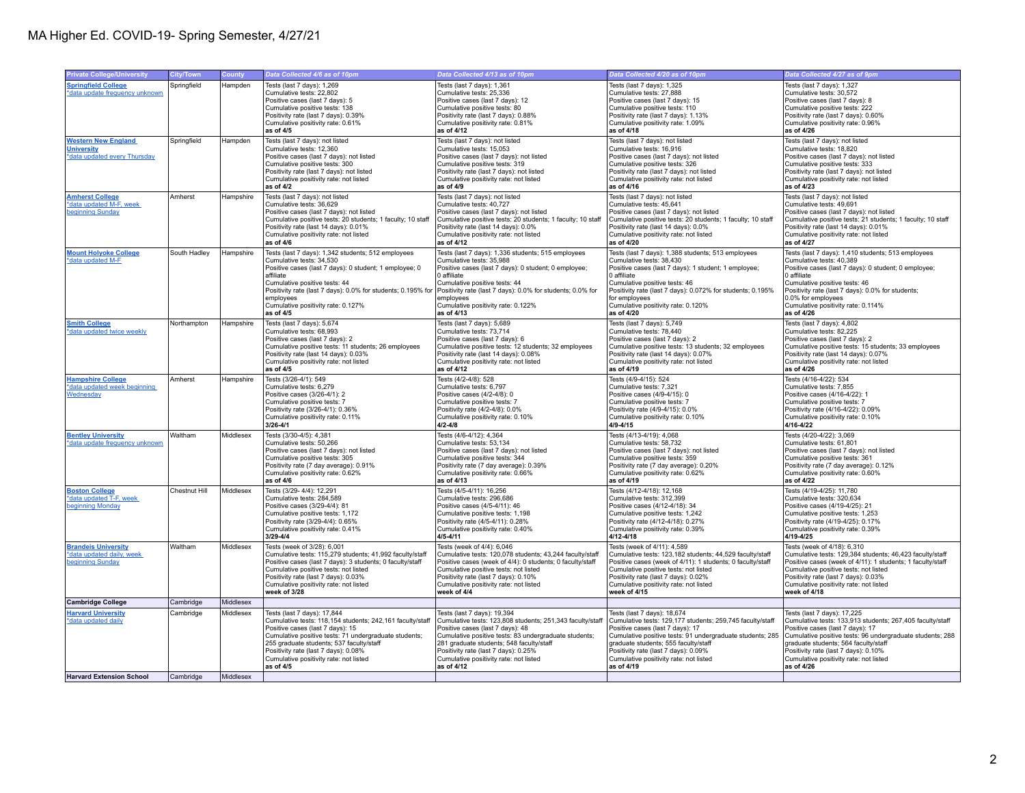| <b>Private College/University</b>                                               | City/Town     | County    | Data Collected 4/6 as of 10pm                                                                                                                                                                                                                                                                                                                                                     | Data Collected 4/13 as of 10pm                                                                                                                                                                                                                                                                                                    | Data Collected 4/20 as of 10pm                                                                                                                                                                                                                                                                                                    | Data Collected 4/27 as of 9pm                                                                                                                                                                                                                                                                                                     |
|---------------------------------------------------------------------------------|---------------|-----------|-----------------------------------------------------------------------------------------------------------------------------------------------------------------------------------------------------------------------------------------------------------------------------------------------------------------------------------------------------------------------------------|-----------------------------------------------------------------------------------------------------------------------------------------------------------------------------------------------------------------------------------------------------------------------------------------------------------------------------------|-----------------------------------------------------------------------------------------------------------------------------------------------------------------------------------------------------------------------------------------------------------------------------------------------------------------------------------|-----------------------------------------------------------------------------------------------------------------------------------------------------------------------------------------------------------------------------------------------------------------------------------------------------------------------------------|
| <b>Springfield College</b><br>*data update frequency unknown                    | Springfield   | Hampden   | Tests (last 7 days): 1,269<br>Cumulative tests: 22,802<br>Positive cases (last 7 days): 5<br>Cumulative positive tests: 138<br>Positivity rate (last 7 days): 0.39%<br>Cumulative positivity rate: 0.61%<br>as of 4/5                                                                                                                                                             | Tests (last 7 days): 1,361<br>Cumulative tests: 25,336<br>Positive cases (last 7 days): 12<br>Cumulative positive tests: 80<br>Positivity rate (last 7 days): 0.88%<br>Cumulative positivity rate: 0.81%<br>as of 4/12                                                                                                            | Tests (last 7 days): 1,325<br>Cumulative tests: 27,888<br>Positive cases (last 7 days): 15<br>Cumulative positive tests: 110<br>Positivity rate (last 7 days): 1.13%<br>Cumulative positivity rate: 1.09%<br>as of 4/18                                                                                                           | Tests (last 7 days): 1,327<br>Cumulative tests: 30,572<br>Positive cases (last 7 days): 8<br>Cumulative positive tests: 222<br>Positivity rate (last 7 days): 0.60%<br>Cumulative positivity rate: 0.96%<br>as of 4/26                                                                                                            |
| <b>Western New England</b><br><b>University</b><br>*data updated every Thursday | Springfield   | Hampden   | Tests (last 7 days): not listed<br>Cumulative tests: 12,360<br>Positive cases (last 7 days): not listed<br>Cumulative positive tests: 300<br>Positivity rate (last 7 days): not listed<br>Cumulative positivity rate: not listed<br>as of 4/2                                                                                                                                     | Tests (last 7 days): not listed<br>Cumulative tests: 15,053<br>Positive cases (last 7 days): not listed<br>Cumulative positive tests: 319<br>Positivity rate (last 7 days): not listed<br>Cumulative positivity rate: not listed<br>as of 4/9                                                                                     | Tests (last 7 days): not listed<br>Cumulative tests: 16,916<br>Positive cases (last 7 days): not listed<br>Cumulative positive tests: 326<br>Positivity rate (last 7 days): not listed<br>Cumulative positivity rate: not listed<br>as of 4/16                                                                                    | Tests (last 7 days): not listed<br>Cumulative tests: 18,820<br>Positive cases (last 7 days): not listed<br>Cumulative positive tests: 333<br>Positivity rate (last 7 days): not listed<br>Cumulative positivity rate: not listed<br>as of 4/23                                                                                    |
| <b>Amherst College</b><br>*data updated M-F, week<br>beginning Sunday           | Amherst       | Hampshire | Tests (last 7 days): not listed<br>Cumulative tests: 36,629<br>Positive cases (last 7 days): not listed<br>Cumulative positive tests: 20 students; 1 faculty; 10 staff<br>Positivity rate (last 14 days): 0.01%<br>Cumulative positivity rate: not listed<br>as of 4/6                                                                                                            | Tests (last 7 days): not listed<br>Cumulative tests: 40,727<br>Positive cases (last 7 days): not listed<br>Cumulative positive tests: 20 students; 1 faculty; 10 staff<br>Positivity rate (last 14 days): 0.0%<br>Cumulative positivity rate: not listed<br>as of 4/12                                                            | Tests (last 7 days): not listed<br>Cumulative tests: 45,641<br>Positive cases (last 7 days): not listed<br>Cumulative positive tests: 20 students; 1 faculty; 10 staff<br>Positivity rate (last 14 days): 0.0%<br>Cumulative positivity rate: not listed<br>as of 4/20                                                            | Tests (last 7 days): not listed<br>Cumulative tests: 49,691<br>Positive cases (last 7 days): not listed<br>Cumulative positive tests: 21 students; 1 faculty; 10 staff<br>Positivity rate (last 14 days): 0.01%<br>Cumulative positivity rate: not listed<br>as of 4/27                                                           |
| <b>Mount Holyoke College</b><br>*data updated M-F                               | South Hadlev  | Hampshire | Tests (last 7 days): 1,342 students; 512 employees<br>Cumulative tests: 34,530<br>Positive cases (last 7 days): 0 student; 1 employee; 0<br>affiliate<br>Cumulative positive tests: 44<br>Positivity rate (last 7 days): 0.0% for students; 0.195% for Positivity rate (last 7 days): 0.0% for students; 0.0% for<br>employees<br>Cumulative positivity rate: 0.127%<br>as of 4/5 | Tests (last 7 days): 1,336 students; 515 employees<br>Cumulative tests: 35,988<br>Positive cases (last 7 days): 0 student; 0 employee;<br>0 affiliate<br>Cumulative positive tests: 44<br>employees<br>Cumulative positivity rate: 0.122%<br>as of 4/13                                                                           | Tests (last 7 days): 1,388 students; 513 employees<br>Cumulative tests: 38,430<br>Positive cases (last 7 days): 1 student; 1 employee;<br>0 affiliate<br>Cumulative positive tests: 46<br>Positivity rate (last 7 days): 0.072% for students; 0.195%<br>for employees<br>Cumulative positivity rate: 0.120%<br>as of 4/20         | Tests (last 7 days): 1,410 students; 513 employees<br>Cumulative tests: 40,389<br>Positive cases (last 7 days): 0 student; 0 employee;<br>0 affiliate<br>Cumulative positive tests: 46<br>Positivity rate (last 7 days): 0.0% for students;<br>0.0% for employees<br>Cumulative positivity rate: 0.114%<br>as of 4/26             |
| <b>Smith College</b><br>*data updated twice weekly                              | Northampton   | Hampshire | Tests (last 7 days): 5,674<br>Cumulative tests: 68,993<br>Positive cases (last 7 days): 2<br>Cumulative positive tests: 11 students; 26 employees<br>Positivity rate (last 14 days): 0.03%<br>Cumulative positivity rate: not listed<br>as of 4/5                                                                                                                                 | Tests (last 7 days): 5,689<br>Cumulative tests: 73,714<br>Positive cases (last 7 days): 6<br>Cumulative positive tests: 12 students; 32 employees<br>Positivity rate (last 14 days): 0.08%<br>Cumulative positivity rate: not listed<br>as of 4/12                                                                                | Tests (last 7 days): 5,749<br>Cumulative tests: 78,440<br>Positive cases (last 7 days): 2<br>Cumulative positive tests: 13 students; 32 employees<br>Positivity rate (last 14 days): 0.07%<br>Cumulative positivity rate: not listed<br>as of 4/19                                                                                | Tests (last 7 days): 4,802<br>Cumulative tests: 82,225<br>Positive cases (last 7 days): 2<br>Cumulative positive tests: 15 students; 33 employees<br>Positivity rate (last 14 days): 0.07%<br>Cumulative positivity rate: not listed<br>as of 4/26                                                                                |
| <b>Hampshire College</b><br>*data updated week beginning<br>Wednesday           | Amherst       | Hampshire | Tests (3/26-4/1): 549<br>Cumulative tests: 6,279<br>Positive cases (3/26-4/1): 2<br>Cumulative positive tests: 7<br>Positivity rate (3/26-4/1): 0.36%<br>Cumulative positivity rate: 0.11%<br>$3/26 - 4/1$                                                                                                                                                                        | Tests (4/2-4/8): 528<br>Cumulative tests: 6,797<br>Positive cases (4/2-4/8): 0<br>Cumulative positive tests: 7<br>Positivity rate (4/2-4/8): 0.0%<br>Cumulative positivity rate: 0.10%<br>$4/2 - 4/8$                                                                                                                             | Tests (4/9-4/15): 524<br>Cumulative tests: 7,321<br>Positive cases (4/9-4/15): 0<br>Cumulative positive tests: 7<br>Positivity rate (4/9-4/15): 0.0%<br>Cumulative positivity rate: 0.10%<br>4/9-4/15                                                                                                                             | Tests (4/16-4/22): 534<br>Cumulative tests: 7,855<br>Positive cases (4/16-4/22): 1<br>Cumulative positive tests: 7<br>Positivity rate (4/16-4/22): 0.09%<br>Cumulative positivity rate: 0.10%<br>$4/16 - 4/22$                                                                                                                    |
| <b>Bentley University</b><br>*data update frequency unknown                     | Waltham       | Middlesex | Tests (3/30-4/5): 4.381<br>Cumulative tests: 50,266<br>Positive cases (last 7 days): not listed<br>Cumulative positive tests: 305<br>Positivity rate (7 day average): 0.91%<br>Cumulative positivity rate: 0.62%<br>as of 4/6                                                                                                                                                     | Tests (4/6-4/12): 4.364<br>Cumulative tests: 53,134<br>Positive cases (last 7 days): not listed<br>Cumulative positive tests: 344<br>Positivity rate (7 day average): 0.39%<br>Cumulative positivity rate: 0.66%<br>as of $4/13$                                                                                                  | Tests (4/13-4/19): 4.068<br>Cumulative tests: 58,732<br>Positive cases (last 7 days): not listed<br>Cumulative positive tests: 359<br>Positivity rate (7 day average): 0.20%<br>Cumulative positivity rate: 0.62%<br>as of 4/19                                                                                                   | Tests (4/20-4/22): 3.069<br>Cumulative tests: 61,801<br>Positive cases (last 7 days): not listed<br>Cumulative positive tests: 361<br>Positivity rate (7 day average): 0.12%<br>Cumulative positivity rate: 0.60%<br>as of 4/22                                                                                                   |
| <b>Boston College</b><br>*data updated T-F, week<br>beginning Monday            | Chestnut Hill | Middlesex | Tests (3/29-4/4): 12,291<br>Cumulative tests: 284.589<br>Positive cases (3/29-4/4): 81<br>Cumulative positive tests: 1,172<br>Positivity rate (3/29-4/4): 0.65%<br>Cumulative positivity rate: 0.41%<br>$3/29 - 4/4$                                                                                                                                                              | Tests (4/5-4/11): 16,256<br>Cumulative tests: 296.686<br>Positive cases (4/5-4/11): 46<br>Cumulative positive tests: 1,198<br>Positivity rate (4/5-4/11): 0.28%<br>Cumulative positivity rate: 0.40%<br>$4/5 - 4/11$                                                                                                              | Tests (4/12-4/18): 12,168<br>Cumulative tests: 312.399<br>Positive cases (4/12-4/18): 34<br>Cumulative positive tests: 1,242<br>Positivity rate (4/12-4/18): 0.27%<br>Cumulative positivity rate: 0.39%<br>4/12-4/18                                                                                                              | Tests (4/19-4/25): 11,780<br>Cumulative tests: 320.634<br>Positive cases (4/19-4/25): 21<br>Cumulative positive tests: 1,253<br>Positivity rate (4/19-4/25): 0.17%<br>Cumulative positivity rate: 0.39%<br>4/19-4/25                                                                                                              |
| <b>Brandeis University</b><br>*data updated daily, week<br>beginning Sunday     | Waltham       | Middlesex | Tests (week of 3/28): 6,001<br>Cumulative tests: 115,279 students; 41,992 faculty/staff<br>Positive cases (last 7 days): 3 students; 0 faculty/staff<br>Cumulative positive tests: not listed<br>Positivity rate (last 7 days): 0.03%<br>Cumulative positivity rate: not listed<br>week of 3/28                                                                                   | Tests (week of 4/4): 6,046<br>Cumulative tests: 120,078 students; 43,244 faculty/staff<br>Positive cases (week of 4/4): 0 students; 0 faculty/staff<br>Cumulative positive tests: not listed<br>Positivity rate (last 7 days): 0.10%<br>Cumulative positivity rate: not listed<br>week of 4/4                                     | Tests (week of 4/11): 4,589<br>Cumulative tests: 123,182 students; 44,529 faculty/staff<br>Positive cases (week of 4/11): 1 students; 0 faculty/staff<br>Cumulative positive tests: not listed<br>Positivity rate (last 7 days): 0.02%<br>Cumulative positivity rate: not listed<br>week of 4/15                                  | Tests (week of 4/18): 6,310<br>Cumulative tests: 129,384 students; 46,423 faculty/staff<br>Positive cases (week of 4/11): 1 students; 1 faculty/staff<br>Cumulative positive tests: not listed<br>Positivity rate (last 7 days): 0.03%<br>Cumulative positivity rate: not listed<br>week of 4/18                                  |
| <b>Cambridge College</b>                                                        | Cambridge     | Middlesex |                                                                                                                                                                                                                                                                                                                                                                                   |                                                                                                                                                                                                                                                                                                                                   |                                                                                                                                                                                                                                                                                                                                   |                                                                                                                                                                                                                                                                                                                                   |
| <b>Harvard University</b><br>*data updated daily                                | Cambridge     | Middlesex | Tests (last 7 days): 17,844<br>Cumulative tests: 118,154 students; 242,161 faculty/staff<br>Positive cases (last 7 days): 15<br>Cumulative positive tests: 71 undergraduate students;<br>255 graduate students; 537 faculty/staff<br>Positivity rate (last 7 days): 0.08%<br>Cumulative positivity rate: not listed<br>as of 4/5                                                  | Tests (last 7 days): 19,394<br>Cumulative tests: 123,808 students; 251,343 faculty/staff<br>Positive cases (last 7 days): 48<br>Cumulative positive tests: 83 undergraduate students;<br>281 graduate students; 548 faculty/staff<br>Positivity rate (last 7 days): 0.25%<br>Cumulative positivity rate: not listed<br>as of 4/12 | Tests (last 7 days): 18,674<br>Cumulative tests: 129,177 students; 259,745 faculty/staff<br>Positive cases (last 7 days): 17<br>Cumulative positive tests: 91 undergraduate students; 285<br>graduate students; 555 faculty/staff<br>Positivity rate (last 7 days): 0.09%<br>Cumulative positivity rate: not listed<br>as of 4/19 | Tests (last 7 days): 17,225<br>Cumulative tests: 133,913 students; 267,405 faculty/staff<br>Positive cases (last 7 days): 17<br>Cumulative positive tests: 96 undergraduate students; 288<br>graduate students; 564 faculty/staff<br>Positivity rate (last 7 days): 0.10%<br>Cumulative positivity rate: not listed<br>as of 4/26 |
| <b>Harvard Extension School</b>                                                 | Cambridge     | Middlesex |                                                                                                                                                                                                                                                                                                                                                                                   |                                                                                                                                                                                                                                                                                                                                   |                                                                                                                                                                                                                                                                                                                                   |                                                                                                                                                                                                                                                                                                                                   |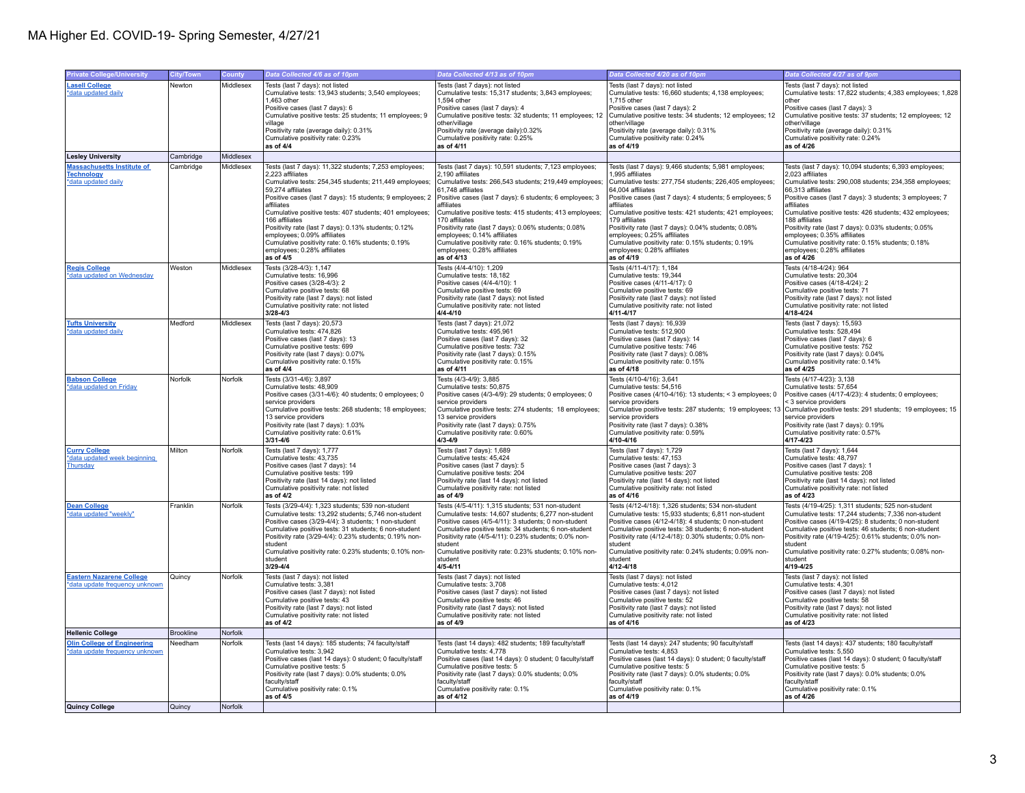## MA Higher Ed. COVID-19- Spring Semester, 4/27/21

| <b>Private College/University</b>                                    | <b>City/Town</b> | County    | Data Collected 4/6 as of 10pm                                                   | Data Collected 4/13 as of 10pm                                                   | Data Collected 4/20 as of 10pm                                                  | Data Collected 4/27 as of 9pm                                                    |
|----------------------------------------------------------------------|------------------|-----------|---------------------------------------------------------------------------------|----------------------------------------------------------------------------------|---------------------------------------------------------------------------------|----------------------------------------------------------------------------------|
|                                                                      |                  |           |                                                                                 |                                                                                  |                                                                                 |                                                                                  |
| <b>Lasell College</b>                                                | Newton           | Middlesex | Tests (last 7 days): not listed                                                 | Tests (last 7 days): not listed                                                  | Tests (last 7 days): not listed                                                 | Tests (last 7 days): not listed                                                  |
| *data updated daily                                                  |                  |           | Cumulative tests: 13,943 students; 3,540 employees;                             | Cumulative tests: 15,317 students; 3,843 employees;                              | Cumulative tests: 16,660 students; 4,138 employees;                             | Cumulative tests: 17,822 students; 4,383 employees; 1,828                        |
|                                                                      |                  |           | 1,463 other                                                                     | 1.594 other                                                                      | 1,715 other                                                                     | other                                                                            |
|                                                                      |                  |           | Positive cases (last 7 days): 6                                                 | Positive cases (last 7 days): 4                                                  | Positive cases (last 7 days): 2                                                 | Positive cases (last 7 days): 3                                                  |
|                                                                      |                  |           | Cumulative positive tests: 25 students; 11 employees; 9                         | Cumulative positive tests: 32 students; 11 employees; 12                         | Cumulative positive tests: 34 students; 12 employees; 12                        | Cumulative positive tests: 37 students; 12 employees; 12                         |
|                                                                      |                  |           | village                                                                         | other/village                                                                    | other/village                                                                   | other/village                                                                    |
|                                                                      |                  |           | Positivity rate (average daily): 0.31%                                          | Positivity rate (average daily):0.32%                                            | Positivity rate (average daily): 0.31%                                          | Positivity rate (average daily): 0.31%                                           |
|                                                                      |                  |           | Cumulative positivity rate: 0.23%<br>as of 4/4                                  | Cumulative positivity rate: 0.25%<br>as of 4/11                                  | Cumulative positivity rate: 0.24%<br>as of 4/19                                 | Cumulative positivity rate: 0.24%<br>as of 4/26                                  |
|                                                                      |                  |           |                                                                                 |                                                                                  |                                                                                 |                                                                                  |
| <b>Lesley University</b>                                             | Cambridge        | Middlesex |                                                                                 |                                                                                  |                                                                                 |                                                                                  |
| <b>Massachusetts Institute of</b>                                    | Cambridge        | Middlesex | Tests (last 7 days): 11,322 students; 7,253 employees;                          | Tests (last 7 days): 10,591 students; 7,123 employees;                           | Tests (last 7 days): 9,466 students; 5,981 employees;                           | Tests (last 7 days): 10,094 students; 6,393 employees;                           |
| <b>Technology</b>                                                    |                  |           | 2.223 affiliates                                                                | 2.190 affiliates                                                                 | 1.995 affiliates                                                                | 2.023 affiliates                                                                 |
| *data updated daily                                                  |                  |           | Cumulative tests: 254,345 students; 211,449 employees                           | Cumulative tests: 266,543 students; 219,449 employees;                           | Cumulative tests: 277,754 students; 226,405 employees;                          | Cumulative tests: 290,008 students; 234,358 employees;                           |
|                                                                      |                  |           | 59,274 affiliates                                                               | 61,748 affiliates                                                                | 64,004 affiliates                                                               | 66,313 affiliates                                                                |
|                                                                      |                  |           | Positive cases (last 7 days): 15 students; 9 employees; 2<br>affiliates         | Positive cases (last 7 days): 6 students; 6 employees; 3<br>affiliates           | Positive cases (last 7 days): 4 students; 5 employees; 5<br>affiliates          | Positive cases (last 7 days): 3 students; 3 employees; 7<br>affiliates           |
|                                                                      |                  |           | Cumulative positive tests: 407 students; 401 employees;                         | Cumulative positive tests: 415 students; 413 employees;                          | Cumulative positive tests: 421 students; 421 employees;                         | Cumulative positive tests: 426 students; 432 employees;                          |
|                                                                      |                  |           | 166 affiliates                                                                  | 170 affiliates                                                                   | 179 affiliates                                                                  | 188 affiliates                                                                   |
|                                                                      |                  |           | Positivity rate (last 7 days): 0.13% students; 0.12%                            | Positivity rate (last 7 days): 0.06% students; 0.08%                             | Positivity rate (last 7 days): 0.04% students; 0.08%                            | Positivity rate (last 7 days): 0.03% students; 0.05%                             |
|                                                                      |                  |           | employees; 0.09% affiliates                                                     | employees; 0.14% affiliates                                                      | employees; 0.25% affiliates                                                     | employees; 0.35% affiliates                                                      |
|                                                                      |                  |           | Cumulative positivity rate: 0.16% students; 0.19%                               | Cumulative positivity rate: 0.16% students; 0.19%                                | Cumulative positivity rate: 0.15% students; 0.19%                               | Cumulative positivity rate: 0.15% students; 0.18%                                |
|                                                                      |                  |           | employees; 0.28% affiliates                                                     | employees; 0.28% affiliates                                                      | employees; 0.28% affiliates                                                     | employees; 0.28% affiliates                                                      |
|                                                                      |                  |           | as of $4/5$                                                                     | as of $4/13$                                                                     | as of 4/19                                                                      | as of $4/26$                                                                     |
| <b>Regis College</b>                                                 | Weston           | Middlesex | Tests (3/28-4/3): 1,147                                                         | Tests (4/4-4/10): 1,209                                                          | Tests (4/11-4/17): 1,184                                                        | Tests (4/18-4/24): 964                                                           |
| *data updated on Wednesday                                           |                  |           | Cumulative tests: 16.996                                                        | Cumulative tests: 18.182                                                         | Cumulative tests: 19.344                                                        | Cumulative tests: 20.304                                                         |
|                                                                      |                  |           | Positive cases (3/28-4/3): 2                                                    | Positive cases (4/4-4/10): 1                                                     | Positive cases (4/11-4/17): 0                                                   | Positive cases (4/18-4/24): 2                                                    |
|                                                                      |                  |           | Cumulative positive tests: 68                                                   | Cumulative positive tests: 69                                                    | Cumulative positive tests: 69                                                   | Cumulative positive tests: 71                                                    |
|                                                                      |                  |           | Positivity rate (last 7 days): not listed                                       | Positivity rate (last 7 days): not listed                                        | Positivity rate (last 7 days): not listed                                       | Positivity rate (last 7 days): not listed                                        |
|                                                                      |                  |           | Cumulative positivity rate: not listed<br>$3/28 - 4/3$                          | Cumulative positivity rate: not listed<br>$4/4 - 4/10$                           | Cumulative positivity rate: not listed<br>$4/11 - 4/17$                         | Cumulative positivity rate: not listed<br>4/18-4/24                              |
|                                                                      |                  |           |                                                                                 |                                                                                  |                                                                                 |                                                                                  |
| <b>Tufts University</b>                                              | Medford          | Middlesex | Tests (last 7 days): 20,573<br>Cumulative tests: 474.826                        | Tests (last 7 days): 21,072<br>Cumulative tests: 495.961                         | Tests (last 7 days): 16,939<br>Cumulative tests: 512.900                        | Tests (last 7 days): 15,593<br>Cumulative tests: 528.494                         |
| *data updated daily                                                  |                  |           | Positive cases (last 7 days): 13                                                | Positive cases (last 7 days): 32                                                 | Positive cases (last 7 days): 14                                                | Positive cases (last 7 days): 6                                                  |
|                                                                      |                  |           | Cumulative positive tests: 699                                                  | Cumulative positive tests: 732                                                   | Cumulative positive tests: 746                                                  | Cumulative positive tests: 752                                                   |
|                                                                      |                  |           | Positivity rate (last 7 days): 0.07%                                            | Positivity rate (last 7 days): 0.15%                                             | Positivity rate (last 7 days): 0.08%                                            | Positivity rate (last 7 days): 0.04%                                             |
|                                                                      |                  |           | Cumulative positivity rate: 0.15%                                               | Cumulative positivity rate: 0.15%                                                | Cumulative positivity rate: 0.15%                                               | Cumulative positivity rate: 0.14%                                                |
|                                                                      |                  |           | as of 4/4                                                                       | as of 4/11                                                                       | as of 4/18                                                                      | as of 4/25                                                                       |
| <b>Babson College</b>                                                | Norfolk          | Norfolk   | Tests (3/31-4/6): 3,897                                                         | Tests (4/3-4/9): 3,885                                                           | Tests (4/10-4/16): 3,641                                                        | Tests (4/17-4/23): 3,138                                                         |
| *data updated on Friday                                              |                  |           | Cumulative tests: 48,909                                                        | Cumulative tests: 50,875                                                         | Cumulative tests: 54,516                                                        | Cumulative tests: 57,654                                                         |
|                                                                      |                  |           | Positive cases (3/31-4/6): 40 students; 0 employees; 0                          | Positive cases (4/3-4/9): 29 students; 0 employees; 0                            | Positive cases (4/10-4/16): 13 students; < 3 employees; 0                       | Positive cases (4/17-4/23): 4 students; 0 employees;                             |
|                                                                      |                  |           | service providers                                                               | service providers                                                                | service providers                                                               | 3 service providers                                                              |
|                                                                      |                  |           | Cumulative positive tests: 268 students; 18 employees;                          | Cumulative positive tests: 274 students; 18 employees;                           | Cumulative positive tests: 287 students; 19 employees; 13                       | Cumulative positive tests: 291 students; 19 employees; 15                        |
|                                                                      |                  |           | 13 service providers                                                            | 13 service providers                                                             | service providers                                                               | service providers                                                                |
|                                                                      |                  |           | Positivity rate (last 7 days): 1.03%<br>Cumulative positivity rate: 0.61%       | Positivity rate (last 7 days): 0.75%<br>Cumulative positivity rate: 0.60%        | Positivity rate (last 7 days): 0.38%<br>Cumulative positivity rate: 0.59%       | Positivity rate (last 7 days): 0.19%<br>Cumulative positivity rate: 0.57%        |
|                                                                      |                  |           | $3/31 - 4/6$                                                                    | $4/3 - 4/9$                                                                      | 4/10-4/16                                                                       | 4/17-4/23                                                                        |
| <b>Curry College</b>                                                 | Milton           | Norfolk   | Tests (last 7 days): 1,777                                                      | Tests (last 7 days): 1,689                                                       | Tests (last 7 days): 1,729                                                      | Tests (last 7 days): 1,644                                                       |
| *data updated week beginning                                         |                  |           | Cumulative tests: 43,735                                                        | Cumulative tests: 45,424                                                         | Cumulative tests: 47,153                                                        | Cumulative tests: 48,797                                                         |
| Thursday                                                             |                  |           | Positive cases (last 7 days): 14                                                | Positive cases (last 7 days): 5                                                  | Positive cases (last 7 days): 3                                                 | Positive cases (last 7 days): 1                                                  |
|                                                                      |                  |           | Cumulative positive tests: 199                                                  | Cumulative positive tests: 204                                                   | Cumulative positive tests: 207                                                  | Cumulative positive tests: 208                                                   |
|                                                                      |                  |           | Positivity rate (last 14 days): not listed                                      | Positivity rate (last 14 days): not listed                                       | Positivity rate (last 14 days): not listed                                      | Positivity rate (last 14 days): not listed                                       |
|                                                                      |                  |           | Cumulative positivity rate: not listed                                          | Cumulative positivity rate: not listed                                           | Cumulative positivity rate: not listed                                          | Cumulative positivity rate: not listed                                           |
|                                                                      |                  |           | as of 4/2                                                                       | as of $4/9$                                                                      | as of 4/16                                                                      | as of 4/23                                                                       |
| <b>Dean College</b>                                                  | Franklin         | Norfolk   | Tests (3/29-4/4): 1,323 students; 539 non-student                               | Tests (4/5-4/11): 1,315 students; 531 non-student                                | Tests (4/12-4/18): 1,326 students; 534 non-student                              | Tests (4/19-4/25): 1,311 students; 525 non-student                               |
| *data updated "weekly"                                               |                  |           | Cumulative tests: 13,292 students; 5,746 non-student                            | Cumulative tests: 14,607 students; 6,277 non-student                             | Cumulative tests: 15,933 students; 6,811 non-student                            | Cumulative tests: 17,244 students; 7,336 non-student                             |
|                                                                      |                  |           | Positive cases (3/29-4/4): 3 students; 1 non-student                            | Positive cases (4/5-4/11): 3 students; 0 non-student                             | Positive cases (4/12-4/18): 4 students; 0 non-student                           | Positive cases (4/19-4/25): 8 students; 0 non-student                            |
|                                                                      |                  |           | Cumulative positive tests: 31 students; 6 non-student                           | Cumulative positive tests: 34 students; 6 non-student                            | Cumulative positive tests: 38 students; 6 non-student                           | Cumulative positive tests: 46 students; 6 non-student                            |
|                                                                      |                  |           | Positivity rate (3/29-4/4): 0.23% students; 0.19% non-<br>student               | Positivity rate (4/5-4/11): 0.23% students; 0.0% non-<br>student                 | Positivity rate (4/12-4/18): 0.30% students; 0.0% non-<br>student               | Positivity rate (4/19-4/25): 0.61% students; 0.0% non-<br>student                |
|                                                                      |                  |           | Cumulative positivity rate: 0.23% students; 0.10% non-                          | Cumulative positivity rate: 0.23% students; 0.10% non-                           | Cumulative positivity rate: 0.24% students; 0.09% non-                          | Cumulative positivity rate: 0.27% students; 0.08% non-                           |
|                                                                      |                  |           | student                                                                         | student                                                                          | student                                                                         | student                                                                          |
|                                                                      |                  |           | $3/29 - 4/4$                                                                    | $4/5 - 4/11$                                                                     | $4/12 - 4/18$                                                                   | 4/19-4/25                                                                        |
| <b>Eastern Nazarene College</b>                                      | Quincy           | Norfolk   | Tests (last 7 days): not listed                                                 | Tests (last 7 days): not listed                                                  | Tests (last 7 days): not listed                                                 | Tests (last 7 days): not listed                                                  |
| data update frequency unknown                                        |                  |           | Cumulative tests: 3,381                                                         | Cumulative tests: 3,708                                                          | Cumulative tests: 4,012                                                         | Cumulative tests: 4,301                                                          |
|                                                                      |                  |           | Positive cases (last 7 days): not listed                                        | Positive cases (last 7 days): not listed                                         | Positive cases (last 7 days): not listed                                        | Positive cases (last 7 days): not listed                                         |
|                                                                      |                  |           | Cumulative positive tests: 43                                                   | Cumulative positive tests: 46                                                    | Cumulative positive tests: 52                                                   | Cumulative positive tests: 58                                                    |
|                                                                      |                  |           | Positivity rate (last 7 days): not listed                                       | Positivity rate (last 7 days): not listed                                        | Positivity rate (last 7 days): not listed                                       | Positivity rate (last 7 days): not listed                                        |
|                                                                      |                  |           | Cumulative positivity rate: not listed<br>as of 4/2                             | Cumulative positivity rate: not listed<br>as of 4/9                              | Cumulative positivity rate: not listed<br>as of 4/16                            | Cumulative positivity rate: not listed<br>as of 4/23                             |
| <b>Hellenic College</b>                                              | <b>Brookline</b> | Norfolk   |                                                                                 |                                                                                  |                                                                                 |                                                                                  |
|                                                                      | Needham          | Norfolk   |                                                                                 |                                                                                  |                                                                                 |                                                                                  |
| <b>Olin College of Engineering</b><br>*data update frequency unknowr |                  |           | Tests (last 14 days): 185 students; 74 faculty/staff<br>Cumulative tests: 3,942 | Tests (last 14 days): 482 students; 189 faculty/staff<br>Cumulative tests: 4,778 | Tests (last 14 days): 247 students; 90 faculty/staff<br>Cumulative tests: 4,853 | Tests (last 14 days): 437 students; 180 faculty/staff<br>Cumulative tests: 5,550 |
|                                                                      |                  |           | Positive cases (last 14 days): 0 student; 0 faculty/staff                       | Positive cases (last 14 days): 0 student; 0 faculty/staff                        | Positive cases (last 14 days): 0 student; 0 faculty/staff                       | Positive cases (last 14 days): 0 student; 0 faculty/staff                        |
|                                                                      |                  |           | Cumulative positive tests: 5                                                    | Cumulative positive tests: 5                                                     | Cumulative positive tests: 5                                                    | Cumulative positive tests: 5                                                     |
|                                                                      |                  |           | Positivity rate (last 7 days): 0.0% students; 0.0%                              | Positivity rate (last 7 days): 0.0% students; 0.0%                               | Positivity rate (last 7 days): 0.0% students; 0.0%                              | Positivity rate (last 7 days): 0.0% students; 0.0%                               |
|                                                                      |                  |           | faculty/staff                                                                   | faculty/staff                                                                    | faculty/staff                                                                   | faculty/staff                                                                    |
|                                                                      |                  |           | Cumulative positivity rate: 0.1%                                                | Cumulative positivity rate: 0.1%                                                 | Cumulative positivity rate: 0.1%                                                | Cumulative positivity rate: 0.1%                                                 |
|                                                                      |                  |           | as of 4/5                                                                       | as of 4/12                                                                       | as of 4/19                                                                      | as of 4/26                                                                       |
| Quincy College                                                       | Quincy           | Norfolk   |                                                                                 |                                                                                  |                                                                                 |                                                                                  |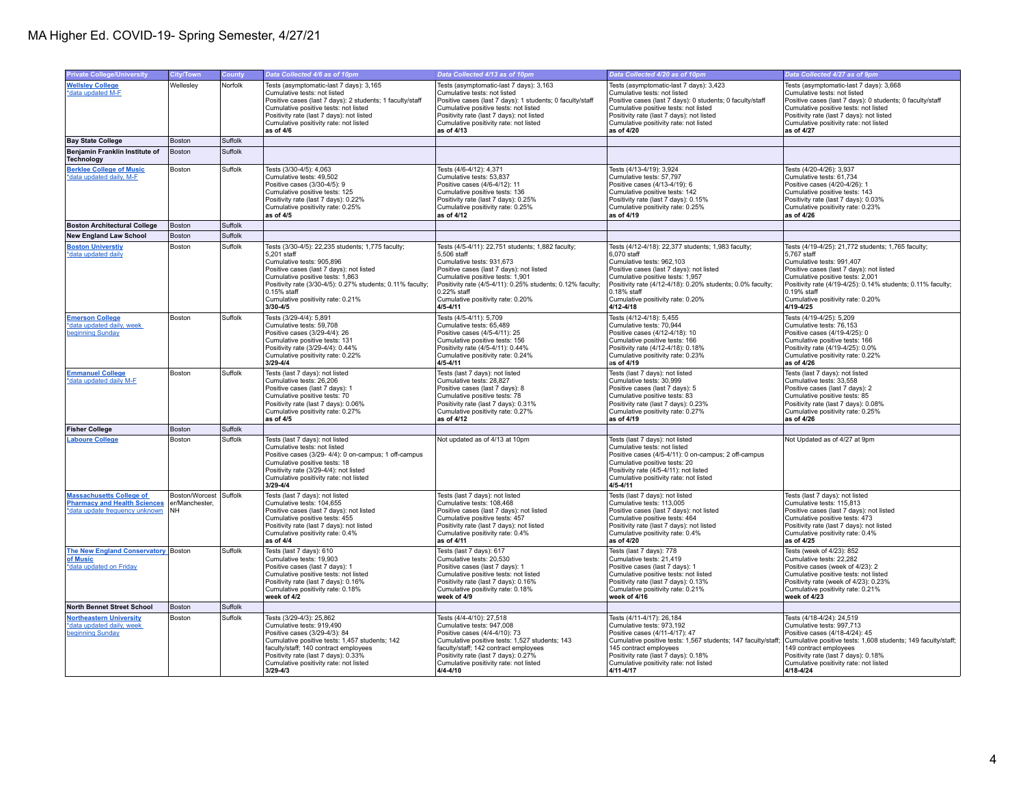## MA Higher Ed. COVID-19- Spring Semester, 4/27/21

| <b>Private College/University</b>                                                                        | <b>City/Town</b>                                      | County  | Data Collected 4/6 as of 10pm                                                                                                                                                                                                                                                                                   | Data Collected 4/13 as of 10pm                                                                                                                                                                                                                                                                                  | Data Collected 4/20 as of 10pm                                                                                                                                                                                                                                                                                    | Data Collected 4/27 as of 9pm                                                                                                                                                                                                                                                                                  |
|----------------------------------------------------------------------------------------------------------|-------------------------------------------------------|---------|-----------------------------------------------------------------------------------------------------------------------------------------------------------------------------------------------------------------------------------------------------------------------------------------------------------------|-----------------------------------------------------------------------------------------------------------------------------------------------------------------------------------------------------------------------------------------------------------------------------------------------------------------|-------------------------------------------------------------------------------------------------------------------------------------------------------------------------------------------------------------------------------------------------------------------------------------------------------------------|----------------------------------------------------------------------------------------------------------------------------------------------------------------------------------------------------------------------------------------------------------------------------------------------------------------|
| <b>Wellsley College</b><br>*data updated M-F                                                             | Welleslev                                             | Norfolk | Tests (asymptomatic-last 7 days): 3.165<br>Cumulative tests: not listed<br>Positive cases (last 7 days): 2 students; 1 faculty/staff<br>Cumulative positive tests: not listed<br>Positivity rate (last 7 days): not listed<br>Cumulative positivity rate: not listed<br>as of 4/6                               | Tests (asymptomatic-last 7 days): 3.163<br>Cumulative tests: not listed<br>Positive cases (last 7 days): 1 students; 0 faculty/staff<br>Cumulative positive tests: not listed<br>Positivity rate (last 7 days): not listed<br>Cumulative positivity rate: not listed<br>as of 4/13                              | Tests (asymptomatic-last 7 days): 3.423<br>Cumulative tests: not listed<br>Positive cases (last 7 days): 0 students; 0 faculty/staff<br>Cumulative positive tests: not listed<br>Positivity rate (last 7 days): not listed<br>Cumulative positivity rate: not listed<br>as of 4/20                                | Tests (asymptomatic-last 7 days): 3.668<br>Cumulative tests: not listed<br>Positive cases (last 7 days): 0 students; 0 faculty/staff<br>Cumulative positive tests: not listed<br>Positivity rate (last 7 days): not listed<br>Cumulative positivity rate: not listed<br>as of 4/27                             |
| <b>Bay State College</b>                                                                                 | Boston                                                | Suffolk |                                                                                                                                                                                                                                                                                                                 |                                                                                                                                                                                                                                                                                                                 |                                                                                                                                                                                                                                                                                                                   |                                                                                                                                                                                                                                                                                                                |
| Benjamin Franklin Institute of<br>Technology                                                             | Boston                                                | Suffolk |                                                                                                                                                                                                                                                                                                                 |                                                                                                                                                                                                                                                                                                                 |                                                                                                                                                                                                                                                                                                                   |                                                                                                                                                                                                                                                                                                                |
| <b>Berklee College of Music</b><br>*data updated daily, M-F                                              | Boston                                                | Suffolk | Tests (3/30-4/5): 4,063<br>Cumulative tests: 49.502<br>Positive cases (3/30-4/5): 9<br>Cumulative positive tests: 125<br>Positivity rate (last 7 days): 0.22%<br>Cumulative positivity rate: 0.25%<br>as of 4/5                                                                                                 | Tests (4/6-4/12): 4.371<br>Cumulative tests: 53.837<br>Positive cases (4/6-4/12): 11<br>Cumulative positive tests: 136<br>Positivity rate (last 7 days): 0.25%<br>Cumulative positivity rate: 0.25%<br>as of 4/12                                                                                               | Tests (4/13-4/19): 3.924<br>Cumulative tests: 57.797<br>Positive cases (4/13-4/19): 6<br>Cumulative positive tests: 142<br>Positivity rate (last 7 days): 0.15%<br>Cumulative positivity rate: 0.25%<br>as of 4/19                                                                                                | Tests (4/20-4/26): 3.937<br>Cumulative tests: 61.734<br>Positive cases (4/20-4/26): 1<br>Cumulative positive tests: 143<br>Positivity rate (last 7 days): 0.03%<br>Cumulative positivity rate: 0.23%<br>as of 4/26                                                                                             |
| <b>Boston Architectural College</b>                                                                      | Boston                                                | Suffolk |                                                                                                                                                                                                                                                                                                                 |                                                                                                                                                                                                                                                                                                                 |                                                                                                                                                                                                                                                                                                                   |                                                                                                                                                                                                                                                                                                                |
| <b>New England Law School</b>                                                                            | Boston                                                | Suffolk |                                                                                                                                                                                                                                                                                                                 |                                                                                                                                                                                                                                                                                                                 |                                                                                                                                                                                                                                                                                                                   |                                                                                                                                                                                                                                                                                                                |
| <b>Boston Universtiv</b><br>*data updated daily                                                          | Boston                                                | Suffolk | Tests (3/30-4/5): 22,235 students; 1,775 faculty;<br>5.201 staff<br>Cumulative tests: 905,896<br>Positive cases (last 7 days): not listed<br>Cumulative positive tests: 1.863<br>Positivity rate (3/30-4/5): 0.27% students; 0.11% faculty;<br>0.15% staff<br>Cumulative positivity rate: 0.21%<br>$3/30 - 4/5$ | Tests (4/5-4/11): 22,751 students; 1,882 faculty;<br>5.506 staff<br>Cumulative tests: 931,673<br>Positive cases (last 7 days): not listed<br>Cumulative positive tests: 1.901<br>Positivity rate (4/5-4/11): 0.25% students; 0.12% faculty;<br>0.22% staff<br>Cumulative positivity rate: 0.20%<br>$4/5 - 4/11$ | Tests (4/12-4/18): 22,377 students; 1,983 faculty;<br>6.070 staff<br>Cumulative tests: 962,103<br>Positive cases (last 7 days): not listed<br>Cumulative positive tests: 1.957<br>Positivity rate (4/12-4/18): 0.20% students; 0.0% faculty;<br>0.18% staff<br>Cumulative positivity rate: 0.20%<br>$4/12 - 4/18$ | Tests (4/19-4/25): 21,772 students; 1,765 faculty;<br>5.767 staff<br>Cumulative tests: 991,407<br>Positive cases (last 7 days): not listed<br>Cumulative positive tests: 2.001<br>Positivity rate (4/19-4/25): 0.14% students; 0.11% faculty;<br>0.19% staff<br>Cumulative positivity rate: 0.20%<br>4/19-4/25 |
| <b>Emerson College</b><br>*data updated daily, week<br>beginning Sunday                                  | Boston                                                | Suffolk | Tests (3/29-4/4): 5.891<br>Cumulative tests: 59,708<br>Positive cases (3/29-4/4): 26<br>Cumulative positive tests: 131<br>Positivity rate (3/29-4/4): 0.44%<br>Cumulative positivity rate: 0.22%<br>$3/29 - 4/4$                                                                                                | Tests (4/5-4/11): 5.709<br>Cumulative tests: 65,489<br>Positive cases (4/5-4/11): 25<br>Cumulative positive tests: 156<br>Positivity rate (4/5-4/11): 0.44%<br>Cumulative positivity rate: 0.24%<br>$4/5 - 4/11$                                                                                                | Tests (4/12-4/18): 5.455<br>Cumulative tests: 70,944<br>Positive cases (4/12-4/18): 10<br>Cumulative positive tests: 166<br>Positivity rate (4/12-4/18): 0.18%<br>Cumulative positivity rate: 0.23%<br>as of 4/19                                                                                                 | Tests (4/19-4/25): 5.209<br>Cumulative tests: 76,153<br>Positive cases (4/19-4/25): 0<br>Cumulative positive tests: 166<br>Positivity rate (4/19-4/25): 0.0%<br>Cumulative positivity rate: 0.22%<br>as of 4/26                                                                                                |
| <b>Emmanuel College</b><br>*data updated daily M-F                                                       | Boston                                                | Suffolk | Tests (last 7 days): not listed<br>Cumulative tests: 26,206<br>Positive cases (last 7 days): 1<br>Cumulative positive tests: 70<br>Positivity rate (last 7 days): 0.06%<br>Cumulative positivity rate: 0.27%<br>as of 4/5                                                                                       | Tests (last 7 days): not listed<br>Cumulative tests: 28,827<br>Positive cases (last 7 days): 8<br>Cumulative positive tests: 78<br>Positivity rate (last 7 days): 0.31%<br>Cumulative positivity rate: 0.27%<br>as of 4/12                                                                                      | Tests (last 7 days): not listed<br>Cumulative tests: 30,999<br>Positive cases (last 7 days): 5<br>Cumulative positive tests: 83<br>Positivity rate (last 7 days): 0.23%<br>Cumulative positivity rate: 0.27%<br>as of 4/19                                                                                        | Tests (last 7 days): not listed<br>Cumulative tests: 33,558<br>Positive cases (last 7 days): 2<br>Cumulative positive tests: 85<br>Positivity rate (last 7 days): 0.08%<br>Cumulative positivity rate: 0.25%<br>as of 4/26                                                                                     |
| <b>Fisher College</b>                                                                                    | Boston                                                | Suffolk |                                                                                                                                                                                                                                                                                                                 |                                                                                                                                                                                                                                                                                                                 |                                                                                                                                                                                                                                                                                                                   |                                                                                                                                                                                                                                                                                                                |
| <b>Laboure College</b>                                                                                   | Boston                                                | Suffolk | Tests (last 7 days): not listed<br>Cumulative tests: not listed<br>Positive cases (3/29- 4/4): 0 on-campus; 1 off-campus<br>Cumulative positive tests: 18<br>Positivity rate (3/29-4/4): not listed<br>Cumulative positivity rate: not listed<br>$3/29 - 4/4$                                                   | Not updated as of 4/13 at 10pm                                                                                                                                                                                                                                                                                  | Tests (last 7 days): not listed<br>Cumulative tests: not listed<br>Positive cases (4/5-4/11): 0 on-campus; 2 off-campus<br>Cumulative positive tests: 20<br>Positivity rate (4/5-4/11); not listed<br>Cumulative positivity rate: not listed<br>4/5-4/11                                                          | Not Updated as of 4/27 at 9pm                                                                                                                                                                                                                                                                                  |
| <b>Massachusetts College of</b><br><b>Pharmacy and Health Sciences</b><br>*data update frequency unknown | Boston/Worcest Suffolk<br>er/Manchester.<br><b>NH</b> |         | Tests (last 7 days): not listed<br>Cumulative tests: 104.655<br>Positive cases (last 7 days); not listed<br>Cumulative positive tests: 455<br>Positivity rate (last 7 days): not listed<br>Cumulative positivity rate: 0.4%<br>as of $4/4$                                                                      | Tests (last 7 days): not listed<br>Cumulative tests: 108.468<br>Positive cases (last 7 days): not listed<br>Cumulative positive tests: 457<br>Positivity rate (last 7 days): not listed<br>Cumulative positivity rate: 0.4%<br>as of 4/11                                                                       | Tests (last 7 days): not listed<br>Cumulative tests: 113,005<br>Positive cases (last 7 days); not listed<br>Cumulative positive tests: 464<br>Positivity rate (last 7 days): not listed<br>Cumulative positivity rate: 0.4%<br>as of 4/20                                                                         | Tests (last 7 days): not listed<br>Cumulative tests: 115,813<br>Positive cases (last 7 days); not listed<br>Cumulative positive tests: 473<br>Positivity rate (last 7 days): not listed<br>Cumulative positivity rate: 0.4%<br>as of 4/25                                                                      |
| The New England Conservatory Boston                                                                      |                                                       | Suffolk | Tests (last 7 days): 610                                                                                                                                                                                                                                                                                        | Tests (last 7 days): 617                                                                                                                                                                                                                                                                                        | Tests (last 7 days): 778                                                                                                                                                                                                                                                                                          | Tests (week of 4/23): 852                                                                                                                                                                                                                                                                                      |
| of Music<br>*data updated on Friday                                                                      |                                                       |         | Cumulative tests: 19,903<br>Positive cases (last 7 days): 1<br>Cumulative positive tests: not listed<br>Positivity rate (last 7 days): 0.16%<br>Cumulative positivity rate: 0.18%<br>week of 4/2                                                                                                                | Cumulative tests: 20,530<br>Positive cases (last 7 days): 1<br>Cumulative positive tests: not listed<br>Positivity rate (last 7 days): 0.16%<br>Cumulative positivity rate: 0.18%<br>week of 4/9                                                                                                                | Cumulative tests: 21,419<br>Positive cases (last 7 days): 1<br>Cumulative positive tests: not listed<br>Positivity rate (last 7 days): 0.13%<br>Cumulative positivity rate: 0.21%<br>week of 4/16                                                                                                                 | Cumulative tests: 22,282<br>Positive cases (week of 4/23): 2<br>Cumulative positive tests: not listed<br>Positivity rate (week of 4/23): 0.23%<br>Cumulative positivity rate: 0.21%<br>week of 4/23                                                                                                            |
| <b>North Bennet Street School</b>                                                                        | Boston                                                | Suffolk |                                                                                                                                                                                                                                                                                                                 |                                                                                                                                                                                                                                                                                                                 |                                                                                                                                                                                                                                                                                                                   |                                                                                                                                                                                                                                                                                                                |
| <b>Northeastern University</b><br>*data updated daily, week<br>beginning Sunday                          | Boston                                                | Suffolk | Tests (3/29-4/3): 25,862<br>Cumulative tests: 919,490<br>Positive cases (3/29-4/3): 84<br>Cumulative positive tests: 1,457 students; 142<br>faculty/staff; 140 contract employees<br>Positivity rate (last 7 days): 0.33%<br>Cumulative positivity rate: not listed<br>$3/29 - 4/3$                             | Tests (4/4-4/10): 27,518<br>Cumulative tests: 947,008<br>Positive cases (4/4-4/10): 73<br>Cumulative positive tests: 1,527 students; 143<br>faculty/staff; 142 contract employees<br>Positivity rate (last 7 days): 0.27%<br>Cumulative positivity rate: not listed<br>$4/4 - 4/10$                             | Tests (4/11-4/17): 26,184<br>Cumulative tests: 973,192<br>Positive cases (4/11-4/17): 47<br>Cumulative positive tests: 1,567 students; 147 faculty/staff;<br>145 contract employees<br>Positivity rate (last 7 days): 0.18%<br>Cumulative positivity rate: not listed<br>4/11-4/17                                | Tests (4/18-4/24): 24,519<br>Cumulative tests: 997.713<br>Positive cases (4/18-4/24): 45<br>Cumulative positive tests: 1,608 students; 149 faculty/staff;<br>149 contract employees<br>Positivity rate (last 7 days): 0.18%<br>Cumulative positivity rate: not listed<br>4/18-4/24                             |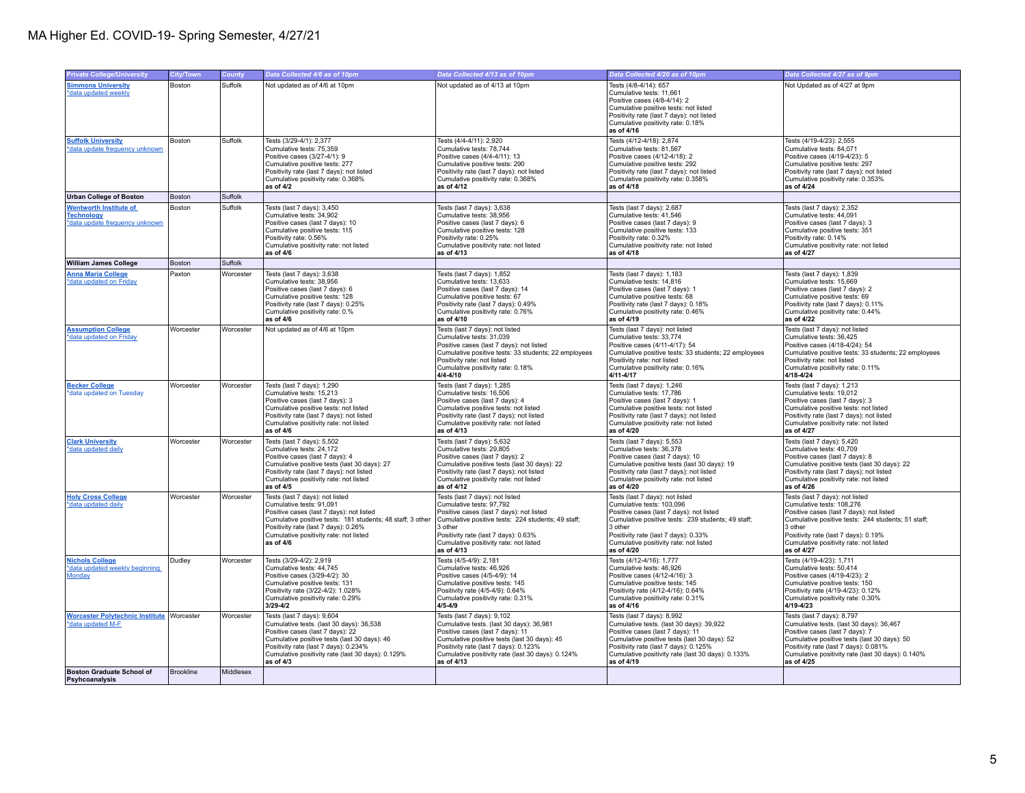| <b>Private College/University</b>                                                    | <b>City/Town</b> | County    | Data Collected 4/6 as of 10pm                                                                                                                                                                                                                                         | Data Collected 4/13 as of 10pm                                                                                                                                                                                                                                           | Data Collected 4/20 as of 10pm                                                                                                                                                                                                                                            | Data Collected 4/27 as of 9pm                                                                                                                                                                                                                                             |
|--------------------------------------------------------------------------------------|------------------|-----------|-----------------------------------------------------------------------------------------------------------------------------------------------------------------------------------------------------------------------------------------------------------------------|--------------------------------------------------------------------------------------------------------------------------------------------------------------------------------------------------------------------------------------------------------------------------|---------------------------------------------------------------------------------------------------------------------------------------------------------------------------------------------------------------------------------------------------------------------------|---------------------------------------------------------------------------------------------------------------------------------------------------------------------------------------------------------------------------------------------------------------------------|
| <b>Simmons University</b><br>*data updated weekly                                    | Boston           | Suffolk   | Not updated as of 4/6 at 10pm                                                                                                                                                                                                                                         | Not updated as of 4/13 at 10pm                                                                                                                                                                                                                                           | Tests (4/8-4/14): 657<br>Cumulative tests: 11,661<br>Positive cases (4/8-4/14): 2<br>Cumulative positive tests: not listed<br>Positivity rate (last 7 days): not listed<br>Cumulative positivity rate: 0.18%<br>as of 4/16                                                | Not Updated as of 4/27 at 9pm                                                                                                                                                                                                                                             |
| <b>Suffolk University</b>                                                            | Boston           | Suffolk   | Tests (3/29-4/1): 2,377                                                                                                                                                                                                                                               | Tests (4/4-4/11): 2.920                                                                                                                                                                                                                                                  | Tests (4/12-4/18): 2,874                                                                                                                                                                                                                                                  | Tests (4/19-4/23): 2,555                                                                                                                                                                                                                                                  |
| *data update frequency unknown                                                       |                  |           | Cumulative tests: 75,359<br>Positive cases (3/27-4/1): 9<br>Cumulative positive tests: 277<br>Positivity rate (last 7 days): not listed<br>Cumulative positivity rate: 0.368%<br>as of 4/2                                                                            | Cumulative tests: 78,744<br>Positive cases (4/4-4/11): 13<br>Cumulative positive tests: 290<br>Positivity rate (last 7 days): not listed<br>Cumulative positivity rate: 0.368%<br>as of 4/12                                                                             | Cumulative tests: 81,567<br>Positive cases (4/12-4/18): 2<br>Cumulative positive tests: 292<br>Positivity rate (last 7 days): not listed<br>Cumulative positivity rate: 0.358%<br>as of 4/18                                                                              | Cumulative tests: 84,071<br>Positive cases (4/19-4/23): 5<br>Cumulative positive tests: 297<br>Positivity rate (last 7 days): not listed<br>Cumulative positivity rate: 0.353%<br>as of 4/24                                                                              |
| <b>Urban College of Boston</b>                                                       | Boston           | Suffolk   |                                                                                                                                                                                                                                                                       |                                                                                                                                                                                                                                                                          |                                                                                                                                                                                                                                                                           |                                                                                                                                                                                                                                                                           |
| <b>Wentworth Institute of</b><br><b>Technology</b><br>*data update frequency unknown | Boston           | Suffolk   | Tests (last 7 days): 3,450<br>Cumulative tests: 34.902<br>Positive cases (last 7 days): 10<br>Cumulative positive tests: 115<br>Positivity rate: 0.56%<br>Cumulative positivity rate: not listed<br>as of 4/6                                                         | Tests (last 7 days): 3,638<br>Cumulative tests: 38.956<br>Positive cases (last 7 days): 6<br>Cumulative positive tests: 128<br>Positivity rate: 0.25%<br>Cumulative positivity rate: not listed<br>as of 4/13                                                            | Tests (last 7 days): 2,687<br>Cumulative tests: 41.546<br>Positive cases (last 7 days): 9<br>Cumulative positive tests: 133<br>Positivity rate: 0.32%<br>Cumulative positivity rate: not listed<br>as of 4/18                                                             | Tests (last 7 days): 2,352<br>Cumulative tests: 44.091<br>Positive cases (last 7 days): 3<br>Cumulative positive tests: 351<br>Positivity rate: 0.14%<br>Cumulative positivity rate: not listed<br>as of 4/27                                                             |
| <b>William James College</b>                                                         | Boston           | Suffolk   |                                                                                                                                                                                                                                                                       |                                                                                                                                                                                                                                                                          |                                                                                                                                                                                                                                                                           |                                                                                                                                                                                                                                                                           |
| <b>Anna Maria College</b><br>*data updated on Friday                                 | Paxton           | Worcester | Tests (last 7 days): 3,638<br>Cumulative tests: 38,956<br>Positive cases (last 7 days): 6<br>Cumulative positive tests: 128<br>Positivity rate (last 7 days): 0.25%<br>Cumulative positivity rate: 0.%<br>as of 4/6                                                   | Tests (last 7 days): 1,852<br>Cumulative tests: 13,633<br>Positive cases (last 7 days): 14<br>Cumulative positive tests: 67<br>Positivity rate (last 7 days): 0.49%<br>Cumulative positivity rate: 0.76%<br>as of 4/10                                                   | Tests (last 7 days): 1,183<br>Cumulative tests: 14.816<br>Positive cases (last 7 days): 1<br>Cumulative positive tests: 68<br>Positivity rate (last 7 days): 0.18%<br>Cumulative positivity rate: 0.46%<br>as of 4/19                                                     | Tests (last 7 days): 1,839<br>Cumulative tests: 15.669<br>Positive cases (last 7 days): 2<br>Cumulative positive tests: 69<br>Positivity rate (last 7 days): 0.11%<br>Cumulative positivity rate: 0.44%<br>as of 4/22                                                     |
| <b>Assumption College</b><br>*data updated on Friday                                 | Worcester        | Worcester | Not updated as of 4/6 at 10pm                                                                                                                                                                                                                                         | Tests (last 7 days): not listed<br>Cumulative tests: 31,039<br>Positive cases (last 7 days): not listed<br>Cumulative positive tests: 33 students; 22 employees<br>Positivity rate: not listed<br>Cumulative positivity rate: 0.18%<br>$4/4 - 4/10$                      | Tests (last 7 days): not listed<br>Cumulative tests: 33.774<br>Positive cases (4/11-4/17): 54<br>Cumulative positive tests: 33 students; 22 employees<br>Positivity rate: not listed<br>Cumulative positivity rate: 0.16%<br>$4/11 - 4/17$                                | Tests (last 7 days): not listed<br>Cumulative tests: 36.425<br>Positive cases (4/18-4/24): 54<br>Cumulative positive tests: 33 students; 22 employees<br>Positivity rate: not listed<br>Cumulative positivity rate: 0.11%<br>4/18-4/24                                    |
| <b>Becker College</b><br>*data updated on Tuesday                                    | Worcester        | Worcester | Tests (last 7 days): 1,290<br>Cumulative tests: 15,213<br>Positive cases (last 7 days): 3<br>Cumulative positive tests: not listed<br>Positivity rate (last 7 days): not listed<br>Cumulative positivity rate: not listed<br>as of 4/6                                | Tests (last 7 days): 1,285<br>Cumulative tests: 16,506<br>Positive cases (last 7 days): 4<br>Cumulative positive tests: not listed<br>Positivity rate (last 7 days): not listed<br>Cumulative positivity rate: not listed<br>as of 4/13                                  | Tests (last 7 days): 1,246<br>Cumulative tests: 17,786<br>Positive cases (last 7 days): 1<br>Cumulative positive tests: not listed<br>Positivity rate (last 7 days): not listed<br>Cumulative positivity rate: not listed<br>as of 4/20                                   | Tests (last 7 days): 1,213<br>Cumulative tests: 19,012<br>Positive cases (last 7 days): 3<br>Cumulative positive tests: not listed<br>Positivity rate (last 7 days): not listed<br>Cumulative positivity rate: not listed<br>as of 4/27                                   |
| <b>Clark University</b><br>*data updated daily                                       | Worcester        | Worcester | Tests (last 7 days): 5,502<br>Cumulative tests: 24,172<br>Positive cases (last 7 days): 4<br>Cumulative positive tests (last 30 days): 27<br>Positivity rate (last 7 days): not listed<br>Cumulative positivity rate: not listed<br>as of 4/5                         | Tests (last 7 days): 5,632<br>Cumulative tests: 29,805<br>Positive cases (last 7 days): 2<br>Cumulative positive tests (last 30 days): 22<br>Positivity rate (last 7 days): not listed<br>Cumulative positivity rate: not listed<br>as of 4/12                           | Tests (last 7 days): 5,553<br>Cumulative tests: 36,378<br>Positive cases (last 7 days): 10<br>Cumulative positive tests (last 30 days): 19<br>Positivity rate (last 7 days): not listed<br>Cumulative positivity rate: not listed<br>as of 4/20                           | Tests (last 7 days): 5,420<br>Cumulative tests: 40,709<br>Positive cases (last 7 days): 8<br>Cumulative positive tests (last 30 days): 22<br>Positivity rate (last 7 days): not listed<br>Cumulative positivity rate: not listed<br>as of 4/26                            |
| <b>Holy Cross College</b><br>*data updated daily                                     | Worcester        | Worcester | Tests (last 7 days): not listed<br>Cumulative tests: 91,091<br>Positive cases (last 7 days): not listed<br>Cumulative positive tests: 181 students; 48 staff; 3 other<br>Positivity rate (last 7 days): 0.26%<br>Cumulative positivity rate: not listed<br>as of 4/6  | Tests (last 7 days): not listed<br>Cumulative tests: 97,792<br>Positive cases (last 7 days): not listed<br>Cumulative positive tests: 224 students; 49 staff;<br>3 other<br>Positivity rate (last 7 days): 0.63%<br>Cumulative positivity rate: not listed<br>as of 4/13 | Tests (last 7 days): not listed<br>Cumulative tests: 103,096<br>Positive cases (last 7 days): not listed<br>Cumulative positive tests: 239 students; 49 staff;<br>3 other<br>Positivity rate (last 7 days): 0.33%<br>Cumulative positivity rate: not listed<br>as of 4/20 | Tests (last 7 days): not listed<br>Cumulative tests: 108,276<br>Positive cases (last 7 days): not listed<br>Cumulative positive tests: 244 students; 51 staff;<br>3 other<br>Positivity rate (last 7 days): 0.19%<br>Cumulative positivity rate: not listed<br>as of 4/27 |
| <b>Nichols College</b><br>*data updated weekly beginning<br>Monday                   | Dudley           | Worcester | Tests (3/29-4/2): 2.919<br>Cumulative tests: 44.745<br>Positive cases (3/29-4/2): 30<br>Cumulative positive tests: 131<br>Positivity rate (3/22-4/2): 1.028%<br>Cumulative positivity rate: 0.29%<br>3/29-4/2                                                         | Tests (4/5-4/9): 2.181<br>Cumulative tests: 46.926<br>Positive cases (4/5-4/9): 14<br>Cumulative positive tests: 145<br>Positivity rate (4/5-4/9): 0.64%<br>Cumulative positivity rate: 0.31%<br>$4/5 - 4/9$                                                             | Tests (4/12-4/16): 1,777<br>Cumulative tests: 46.926<br>Positive cases (4/12-4/16): 3<br>Cumulative positive tests: 145<br>Positivity rate (4/12-4/16): 0.64%<br>Cumulative positivity rate: 0.31%<br>as of 4/16                                                          | Tests (4/19-4/23): 1.711<br>Cumulative tests: 50.414<br>Positive cases (4/19-4/23): 2<br>Cumulative positive tests: 150<br>Positivity rate (4/19-4/23): 0.12%<br>Cumulative positivity rate: 0.30%<br>$4/19 - 4/23$                                                       |
| Worcester Polytechnic Institute Worcester<br>*data updated M-F                       |                  | Worcester | Tests (last 7 days): 9,604<br>Cumulative tests. (last 30 days): 36,538<br>Positive cases (last 7 days): 22<br>Cumulative positive tests (last 30 days): 46<br>Positivity rate (last 7 days): 0.234%<br>Cumulative positivity rate (last 30 days): 0.129%<br>as of 4/3 | Tests (last 7 days): 9,102<br>Cumulative tests. (last 30 days): 36,981<br>Positive cases (last 7 days): 11<br>Cumulative positive tests (last 30 days): 45<br>Positivity rate (last 7 days): 0.123%<br>Cumulative positivity rate (last 30 days): 0.124%<br>as of 4/13   | Tests (last 7 days): 8,992<br>Cumulative tests. (last 30 days): 39.922<br>Positive cases (last 7 days): 11<br>Cumulative positive tests (last 30 days): 52<br>Positivity rate (last 7 days): 0.125%<br>Cumulative positivity rate (last 30 days): 0.133%<br>as of 4/19    | Tests (last 7 days): 8,797<br>Cumulative tests. (last 30 days): 36,467<br>Positive cases (last 7 days): 7<br>Cumulative positive tests (last 30 days): 50<br>Positivity rate (last 7 days): 0.081%<br>Cumulative positivity rate (last 30 days): 0.140%<br>as of 4/25     |
| <b>Boston Graduate School of</b><br>Psyhcoanalysis                                   | <b>Brookline</b> | Middlesex |                                                                                                                                                                                                                                                                       |                                                                                                                                                                                                                                                                          |                                                                                                                                                                                                                                                                           |                                                                                                                                                                                                                                                                           |